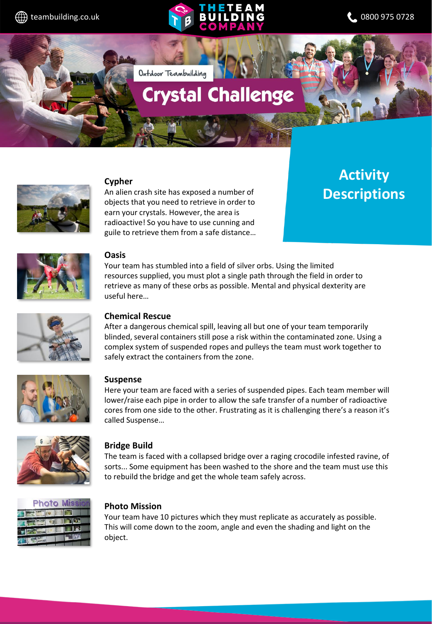# $\bigoplus$  teambuilding.co.uk **No. 2 BUILDING** 2 0800 975 0728

Outdoor Teambuilding

## **Crystal Challenge**



#### **Cypher**

An alien crash site has exposed a number of objects that you need to retrieve in order to earn your crystals. However, the area is radioactive! So you have to use cunning and guile to retrieve them from a safe distance…

### **Activity Descriptions**



#### **Oasis**

Your team has stumbled into a field of silver orbs. Using the limited resources supplied, you must plot a single path through the field in order to retrieve as many of these orbs as possible. Mental and physical dexterity are useful here…



#### **Chemical Rescue**

After a dangerous chemical spill, leaving all but one of your team temporarily blinded, several containers still pose a risk within the contaminated zone. Using a complex system of suspended ropes and pulleys the team must work together to safely extract the containers from the zone.



#### **Suspense**

Here your team are faced with a series of suspended pipes. Each team member will lower/raise each pipe in order to allow the safe transfer of a number of radioactive cores from one side to the other. Frustrating as it is challenging there's a reason it's called Suspense…



#### **Bridge Build**

The team is faced with a collapsed bridge over a raging crocodile infested ravine, of sorts... Some equipment has been washed to the shore and the team must use this to rebuild the bridge and get the whole team safely across.



#### **Photo Mission**

Your team have 10 pictures which they must replicate as accurately as possible. This will come down to the zoom, angle and even the shading and light on the object.